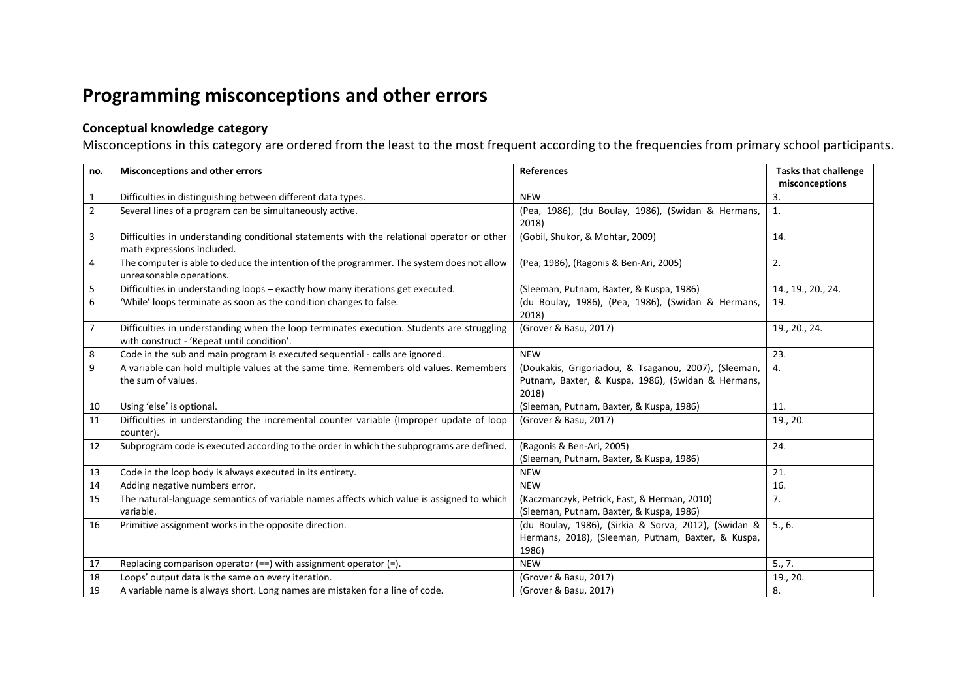## **Programming misconceptions and other errors**

## **Conceptual knowledge category**

Misconceptions in this category are ordered from the least to the most frequent according to the frequencies from primary school participants.

| no.            | <b>Misconceptions and other errors</b>                                                                                                  | <b>References</b>                                                                                                   | <b>Tasks that challenge</b><br>misconceptions |
|----------------|-----------------------------------------------------------------------------------------------------------------------------------------|---------------------------------------------------------------------------------------------------------------------|-----------------------------------------------|
| $\mathbf{1}$   | Difficulties in distinguishing between different data types.                                                                            | <b>NEW</b>                                                                                                          | 3.                                            |
| $\overline{2}$ | Several lines of a program can be simultaneously active.                                                                                | (Pea, 1986), (du Boulay, 1986), (Swidan & Hermans,<br>2018)                                                         | 1.                                            |
| $\overline{3}$ | Difficulties in understanding conditional statements with the relational operator or other<br>math expressions included.                | (Gobil, Shukor, & Mohtar, 2009)                                                                                     | 14.                                           |
| $\overline{4}$ | The computer is able to deduce the intention of the programmer. The system does not allow<br>unreasonable operations.                   | (Pea, 1986), (Ragonis & Ben-Ari, 2005)                                                                              | 2.                                            |
| 5              | Difficulties in understanding loops - exactly how many iterations get executed.                                                         | (Sleeman, Putnam, Baxter, & Kuspa, 1986)                                                                            | 14., 19., 20., 24.                            |
| 6              | 'While' loops terminate as soon as the condition changes to false.                                                                      | (du Boulay, 1986), (Pea, 1986), (Swidan & Hermans,<br>2018)                                                         | 19.                                           |
| $\overline{7}$ | Difficulties in understanding when the loop terminates execution. Students are struggling<br>with construct - 'Repeat until condition'. | (Grover & Basu, 2017)                                                                                               | 19., 20., 24.                                 |
| 8              | Code in the sub and main program is executed sequential - calls are ignored.                                                            | <b>NEW</b>                                                                                                          | 23.                                           |
| 9              | A variable can hold multiple values at the same time. Remembers old values. Remembers<br>the sum of values.                             | (Doukakis, Grigoriadou, & Tsaganou, 2007), (Sleeman,<br>Putnam, Baxter, & Kuspa, 1986), (Swidan & Hermans,<br>2018) | 4.                                            |
| 10             | Using 'else' is optional.                                                                                                               | (Sleeman, Putnam, Baxter, & Kuspa, 1986)                                                                            | 11.                                           |
| 11             | Difficulties in understanding the incremental counter variable (Improper update of loop<br>counter).                                    | (Grover & Basu, 2017)                                                                                               | 19., 20.                                      |
| 12             | Subprogram code is executed according to the order in which the subprograms are defined.                                                | (Ragonis & Ben-Ari, 2005)<br>(Sleeman, Putnam, Baxter, & Kuspa, 1986)                                               | 24.                                           |
| 13             | Code in the loop body is always executed in its entirety.                                                                               | <b>NEW</b>                                                                                                          | 21.                                           |
| 14             | Adding negative numbers error.                                                                                                          | <b>NEW</b>                                                                                                          | 16.                                           |
| 15             | The natural-language semantics of variable names affects which value is assigned to which<br>variable.                                  | (Kaczmarczyk, Petrick, East, & Herman, 2010)<br>(Sleeman, Putnam, Baxter, & Kuspa, 1986)                            | 7.                                            |
| 16             | Primitive assignment works in the opposite direction.                                                                                   | (du Boulay, 1986), (Sirkia & Sorva, 2012), (Swidan &<br>Hermans, 2018), (Sleeman, Putnam, Baxter, & Kuspa,<br>1986) | 5., 6.                                        |
| 17             | Replacing comparison operator $(==)$ with assignment operator $(=)$ .                                                                   | <b>NEW</b>                                                                                                          | 5., 7.                                        |
| 18             | Loops' output data is the same on every iteration.                                                                                      | (Grover & Basu, 2017)                                                                                               | 19., 20.                                      |
| 19             | A variable name is always short. Long names are mistaken for a line of code.                                                            | (Grover & Basu, 2017)                                                                                               | 8.                                            |